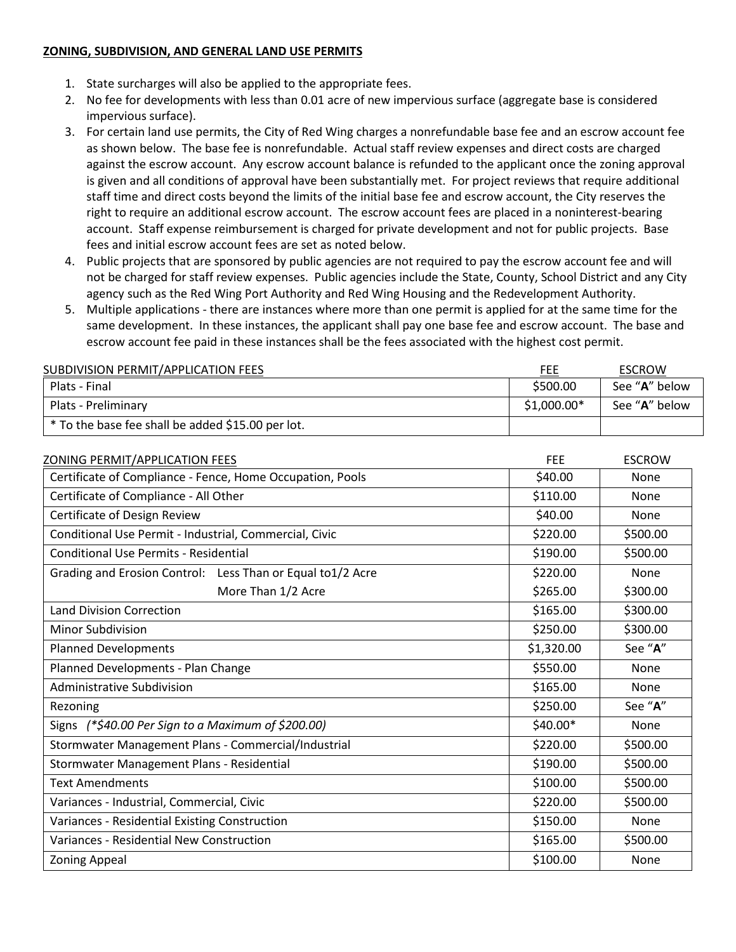## **ZONING, SUBDIVISION, AND GENERAL LAND USE PERMITS**

- 1. State surcharges will also be applied to the appropriate fees.
- 2. No fee for developments with less than 0.01 acre of new impervious surface (aggregate base is considered impervious surface).
- 3. For certain land use permits, the City of Red Wing charges a nonrefundable base fee and an escrow account fee as shown below. The base fee is nonrefundable. Actual staff review expenses and direct costs are charged against the escrow account. Any escrow account balance is refunded to the applicant once the zoning approval is given and all conditions of approval have been substantially met. For project reviews that require additional staff time and direct costs beyond the limits of the initial base fee and escrow account, the City reserves the right to require an additional escrow account. The escrow account fees are placed in a noninterest-bearing account. Staff expense reimbursement is charged for private development and not for public projects. Base fees and initial escrow account fees are set as noted below.
- 4. Public projects that are sponsored by public agencies are not required to pay the escrow account fee and will not be charged for staff review expenses. Public agencies include the State, County, School District and any City agency such as the Red Wing Port Authority and Red Wing Housing and the Redevelopment Authority.
- 5. Multiple applications there are instances where more than one permit is applied for at the same time for the same development. In these instances, the applicant shall pay one base fee and escrow account. The base and escrow account fee paid in these instances shall be the fees associated with the highest cost permit.

| SUBDIVISION PERMIT/APPLICATION FEES               | FEE          | <b>ESCROW</b> |
|---------------------------------------------------|--------------|---------------|
| Plats - Final                                     | \$500.00     | See "A" below |
| Plats - Preliminary                               | $$1,000.00*$ | See "A" below |
| * To the base fee shall be added \$15.00 per lot. |              |               |

| ZONING PERMIT/APPLICATION FEES                             | <b>FEE</b> | <b>ESCROW</b> |
|------------------------------------------------------------|------------|---------------|
| Certificate of Compliance - Fence, Home Occupation, Pools  | \$40.00    | None          |
| Certificate of Compliance - All Other                      | \$110.00   | None          |
| Certificate of Design Review                               | \$40.00    | None          |
| Conditional Use Permit - Industrial, Commercial, Civic     | \$220.00   | \$500.00      |
| <b>Conditional Use Permits - Residential</b>               | \$190.00   | \$500.00      |
| Grading and Erosion Control: Less Than or Equal to1/2 Acre | \$220.00   | None          |
| More Than 1/2 Acre                                         | \$265.00   | \$300.00      |
| <b>Land Division Correction</b>                            | \$165.00   | \$300.00      |
| <b>Minor Subdivision</b>                                   | \$250.00   | \$300.00      |
| <b>Planned Developments</b>                                | \$1,320.00 | See "A"       |
| Planned Developments - Plan Change                         | \$550.00   | None          |
| <b>Administrative Subdivision</b>                          | \$165.00   | <b>None</b>   |
| Rezoning                                                   | \$250.00   | See "A"       |
| Signs $(*\xi40.00$ Per Sign to a Maximum of $\xi200.00$    | $$40.00*$  | None          |
| Stormwater Management Plans - Commercial/Industrial        | \$220.00   | \$500.00      |
| Stormwater Management Plans - Residential                  | \$190.00   | \$500.00      |
| <b>Text Amendments</b>                                     | \$100.00   | \$500.00      |
| Variances - Industrial, Commercial, Civic                  | \$220.00   | \$500.00      |
| Variances - Residential Existing Construction              | \$150.00   | None          |
| Variances - Residential New Construction                   | \$165.00   | \$500.00      |
| <b>Zoning Appeal</b>                                       | \$100.00   | <b>None</b>   |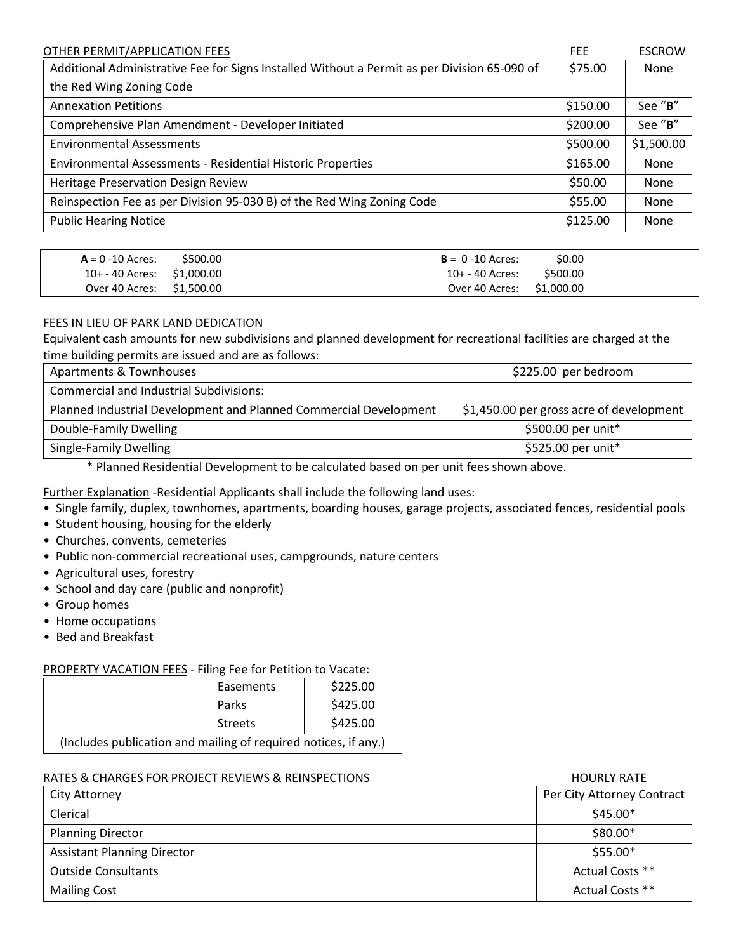| OTHER PERMIT/APPLICATION FEES                                                                | <b>FEE</b> | <b>ESCROW</b> |
|----------------------------------------------------------------------------------------------|------------|---------------|
| Additional Administrative Fee for Signs Installed Without a Permit as per Division 65-090 of | \$75.00    | None          |
| the Red Wing Zoning Code                                                                     |            |               |
| <b>Annexation Petitions</b>                                                                  | \$150.00   | See "B"       |
| Comprehensive Plan Amendment - Developer Initiated                                           | \$200.00   | See "B"       |
| <b>Environmental Assessments</b>                                                             | \$500.00   | \$1,500.00    |
| Environmental Assessments - Residential Historic Properties                                  | \$165.00   | None          |
| Heritage Preservation Design Review                                                          | \$50.00    | None          |
| Reinspection Fee as per Division 95-030 B) of the Red Wing Zoning Code                       | \$55.00    | None          |
| <b>Public Hearing Notice</b>                                                                 | \$125.00   | None          |

| $A = 0 - 10$ Acres: \$500.00 | $B = 0 - 10$ Acres:       | S <sub>0.00</sub> |
|------------------------------|---------------------------|-------------------|
| 10+ - 40 Acres: \$1,000.00   | 10+ - 40 Acres:           | \$500.00          |
| Over 40 Acres: \$1,500.00    | Over 40 Acres: \$1,000.00 |                   |

## FEES IN LIEU OF PARK LAND DEDICATION

Equivalent cash amounts for new subdivisions and planned development for recreational facilities are charged at the time building permits are issued and are as follows:

| Apartments & Townhouses                                           | \$225.00 per bedroom                     |
|-------------------------------------------------------------------|------------------------------------------|
| <b>Commercial and Industrial Subdivisions:</b>                    |                                          |
| Planned Industrial Development and Planned Commercial Development | \$1,450.00 per gross acre of development |
| Double-Family Dwelling                                            | \$500.00 per unit*                       |
| Single-Family Dwelling                                            | \$525.00 per unit*                       |

\* Planned Residential Development to be calculated based on per unit fees shown above.

Further Explanation -Residential Applicants shall include the following land uses:

- Single family, duplex, townhomes, apartments, boarding houses, garage projects, associated fences, residential pools
- Student housing, housing for the elderly
- Churches, convents, cemeteries
- Public non-commercial recreational uses, campgrounds, nature centers
- Agricultural uses, forestry
- School and day care (public and nonprofit)
- Group homes
- Home occupations
- Bed and Breakfast

## PROPERTY VACATION FEES - Filing Fee for Petition to Vacate:

| Easements                                                       | \$225.00 |  |
|-----------------------------------------------------------------|----------|--|
| Parks                                                           | \$425.00 |  |
| <b>Streets</b>                                                  | \$425.00 |  |
| (Includes publication and mailing of required notices, if any.) |          |  |

## RATES & CHARGES FOR PROJECT REVIEWS & REINSPECTIONS FOR THE REVIEW OF THE RATE RATE.

| City Attorney                      | Per City Attorney Contract |
|------------------------------------|----------------------------|
| Clerical                           | $$45.00*$                  |
| <b>Planning Director</b>           | \$80.00*                   |
| <b>Assistant Planning Director</b> | $$55.00*$                  |
| <b>Outside Consultants</b>         | Actual Costs **            |
| <b>Mailing Cost</b>                | Actual Costs **            |